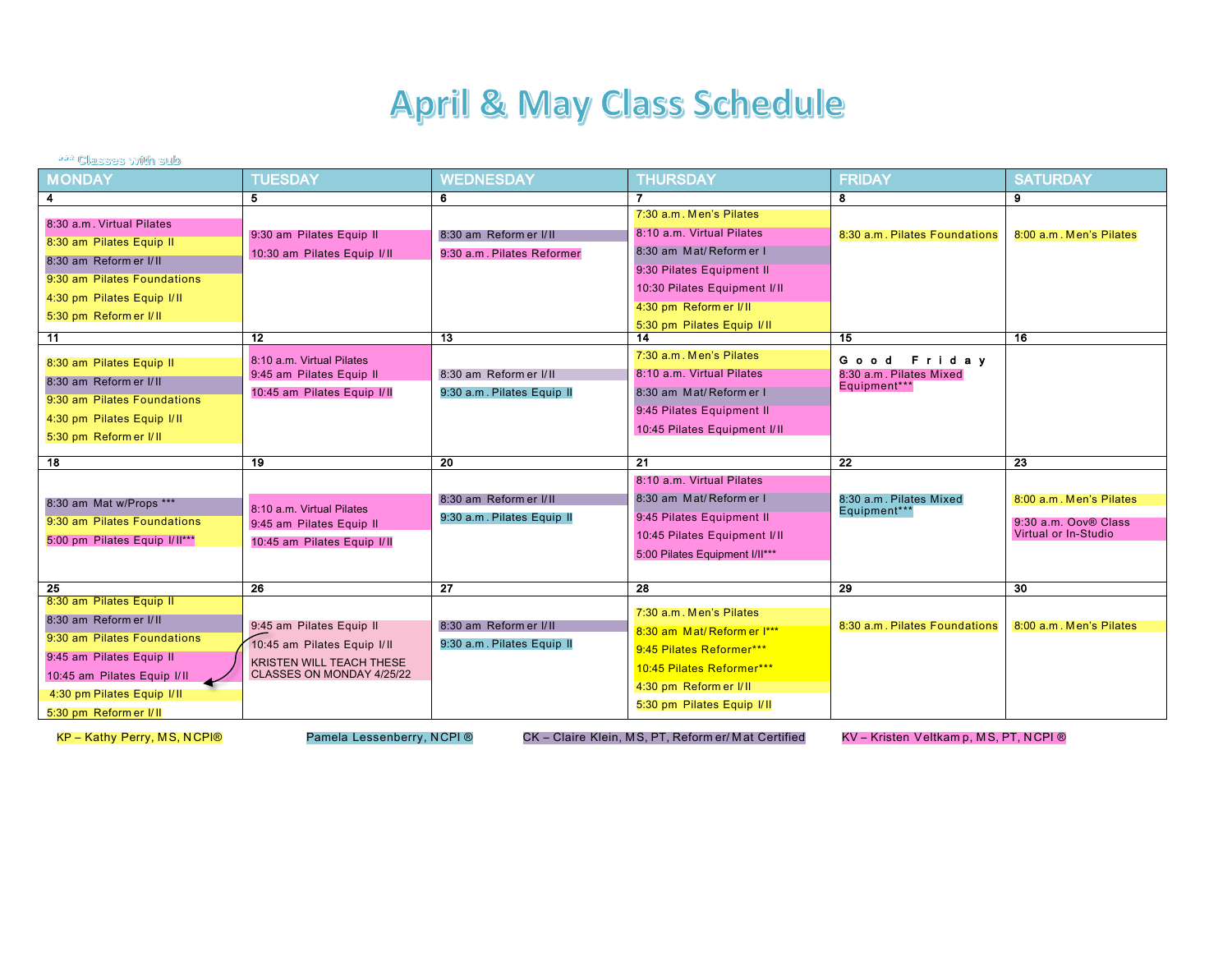## **April & May Class Schedule**

## **222 Classes with sub**

| <b>MONDAY</b>                 | <b>TUESDAY</b>              | <b>WEDNESDAY</b>           | <b>THURSDAY</b>                                      | <b>FRIDAY</b>                           | <b>SATURDAY</b>         |
|-------------------------------|-----------------------------|----------------------------|------------------------------------------------------|-----------------------------------------|-------------------------|
| 4                             | 5                           | 6                          |                                                      | 8                                       | 9                       |
| 8:30 a.m. Virtual Pilates     |                             |                            | 7:30 a.m. Men's Pilates                              |                                         |                         |
|                               | 9:30 am Pilates Equip II    | 8:30 am Reform er I/II     | 8:10 a.m. Virtual Pilates                            | 8:30 a.m. Pilates Foundations           | 8:00 a.m. Men's Pilates |
| 8:30 am Pilates Equip II      | 10:30 am Pilates Equip I/II | 9:30 a.m. Pilates Reformer | 8:30 am Mat/Reformer I                               |                                         |                         |
| 8:30 am Reform er I/II        |                             |                            | 9:30 Pilates Equipment II                            |                                         |                         |
| 9:30 am Pilates Foundations   |                             |                            | 10:30 Pilates Equipment I/II                         |                                         |                         |
| 4:30 pm Pilates Equip I/II    |                             |                            | 4:30 pm Reform er I/II                               |                                         |                         |
| 5:30 pm Reform er I/II        |                             |                            | 5:30 pm Pilates Equip I/II                           |                                         |                         |
| $\overline{11}$               | $\overline{12}$             | $\overline{13}$            |                                                      | 15                                      | $\overline{16}$         |
|                               | 8:10 a.m. Virtual Pilates   |                            | 7:30 a.m. Men's Pilates                              |                                         |                         |
| 8:30 am Pilates Equip II      | 9:45 am Pilates Equip II    | 8:30 am Reform er I/II     | 8:10 a.m. Virtual Pilates                            | Good Friday<br>8:30 a.m. Pilates Mixed  |                         |
| 8:30 am Reform er I/II        | 10:45 am Pilates Equip I/II | 9:30 a.m. Pilates Equip II | 8:30 am Mat/Reformer I                               | Equipment***                            |                         |
| 9:30 am Pilates Foundations   |                             |                            |                                                      |                                         |                         |
| 4:30 pm Pilates Equip I/II    |                             |                            | 9:45 Pilates Equipment II                            |                                         |                         |
| 5:30 pm Reform er I/II        |                             |                            | 10:45 Pilates Equipment I/II                         |                                         |                         |
| $\overline{18}$               | -19                         | 20                         | 21                                                   | $\overline{22}$                         | 23                      |
|                               |                             |                            |                                                      |                                         |                         |
|                               |                             |                            | 8:10 a.m. Virtual Pilates                            |                                         |                         |
| 8:30 am Mat w/Props ***       | 8:10 a.m. Virtual Pilates   | 8:30 am Reform er I/II     | 8:30 am Mat/Reformer I                               | 8:30 a.m. Pilates Mixed<br>Equipment*** | 8:00 a.m. Men's Pilates |
| 9:30 am Pilates Foundations   | 9:45 am Pilates Equip II    | 9:30 a.m. Pilates Equip II | 9:45 Pilates Equipment II                            |                                         | 9:30 a.m. Oov® Class    |
| 5:00 pm Pilates Equip I/II*** | 10:45 am Pilates Equip I/II |                            | 10:45 Pilates Equipment I/II                         |                                         | Virtual or In-Studio    |
|                               |                             |                            | 5:00 Pilates Equipment I/II***                       |                                         |                         |
|                               |                             |                            |                                                      |                                         |                         |
| 25                            | 26                          | $\overline{27}$            | 28                                                   | 29                                      | $\overline{30}$         |
| 8:30 am Pilates Equip II      |                             |                            | 7:30 a.m. Men's Pilates                              |                                         |                         |
| 8:30 am Reform er I/II        | 9:45 am Pilates Equip II    | 8:30 am Reform er I/II     | 8:30 am Mat/Reform er I***                           | 8:30 a.m. Pilates Foundations           | 8:00 a.m. Men's Pilates |
| 9:30 am Pilates Foundations   | 10:45 am Pilates Equip I/II | 9:30 a.m. Pilates Equip II | 9:45 Pilates Reformer***                             |                                         |                         |
| 9:45 am Pilates Equip II      | KRISTEN WILL TEACH THESE    |                            |                                                      |                                         |                         |
| 10:45 am Pilates Equip I/II   | CLASSES ON MONDAY 4/25/22   |                            | 10:45 Pilates Reformer***                            |                                         |                         |
|                               |                             |                            |                                                      |                                         |                         |
| 4:30 pm Pilates Equip I/II    |                             |                            | 4:30 pm Reform er I/II<br>5:30 pm Pilates Equip I/II |                                         |                         |

KP - Kathy Perry, MS, NCPI®

Pamela Lessenberry, NCPI ®

CK - Claire Klein, MS, PT, Reform er/ Mat Certified

KV - Kristen Veltkam p, MS, PT, NCPI ®